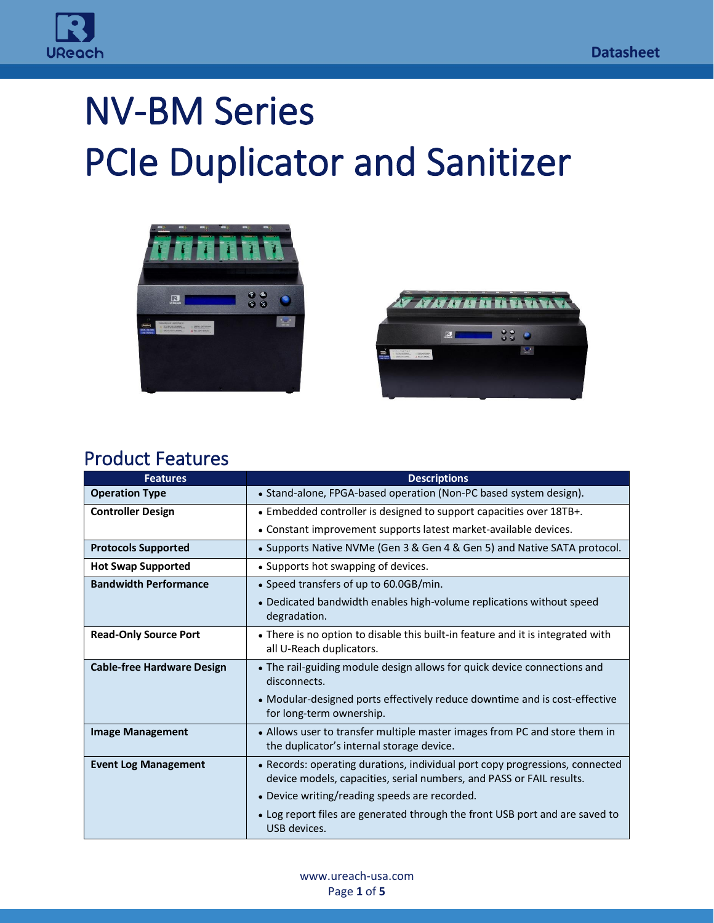

# NV-BM Series PCIe Duplicator and Sanitizer





#### Product Features

| <b>Features</b>                   | <b>Descriptions</b>                                                                                                                                  |
|-----------------------------------|------------------------------------------------------------------------------------------------------------------------------------------------------|
| <b>Operation Type</b>             | • Stand-alone, FPGA-based operation (Non-PC based system design).                                                                                    |
| <b>Controller Design</b>          | • Embedded controller is designed to support capacities over 18TB+.                                                                                  |
|                                   | • Constant improvement supports latest market-available devices.                                                                                     |
| <b>Protocols Supported</b>        | • Supports Native NVMe (Gen 3 & Gen 4 & Gen 5) and Native SATA protocol.                                                                             |
| <b>Hot Swap Supported</b>         | • Supports hot swapping of devices.                                                                                                                  |
| <b>Bandwidth Performance</b>      | • Speed transfers of up to 60.0GB/min.                                                                                                               |
|                                   | • Dedicated bandwidth enables high-volume replications without speed<br>degradation.                                                                 |
| <b>Read-Only Source Port</b>      | • There is no option to disable this built-in feature and it is integrated with<br>all U-Reach duplicators.                                          |
| <b>Cable-free Hardware Design</b> | • The rail-guiding module design allows for quick device connections and<br>disconnects.                                                             |
|                                   | • Modular-designed ports effectively reduce downtime and is cost-effective<br>for long-term ownership.                                               |
| <b>Image Management</b>           | • Allows user to transfer multiple master images from PC and store them in<br>the duplicator's internal storage device.                              |
| <b>Event Log Management</b>       | • Records: operating durations, individual port copy progressions, connected<br>device models, capacities, serial numbers, and PASS or FAIL results. |
|                                   | • Device writing/reading speeds are recorded.                                                                                                        |
|                                   | • Log report files are generated through the front USB port and are saved to<br>USB devices.                                                         |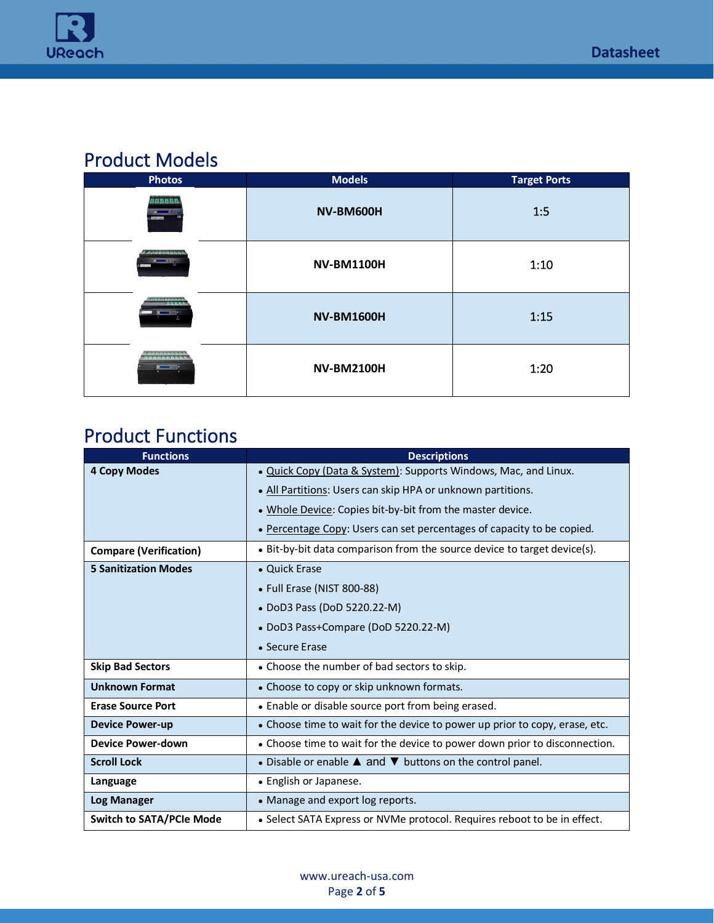

## Product Models

| <b>Photos</b>                                             | <b>Models</b>     | <b>Target Ports</b> |
|-----------------------------------------------------------|-------------------|---------------------|
| 700000<br>$x = 33$<br>NS-33                               | NV-BM600H         | 1:5                 |
| <b><i>MARKET DE LA VANA</i></b><br>$-224$                 | <b>NV-BM1100H</b> | 1:10                |
| aaannanaan'i<br>Firitr'i<br>$   -$                        | <b>NV-BM1600H</b> | 1:15                |
| -----------------<br>.<br>$\frac{1}{2}$ and $\frac{1}{2}$ | <b>NV-BM2100H</b> | 1:20                |

### Product Functions

| <b>Functions</b>                | <b>Descriptions</b>                                                         |
|---------------------------------|-----------------------------------------------------------------------------|
| <b>4 Copy Modes</b>             | . Quick Copy (Data & System): Supports Windows, Mac, and Linux.             |
|                                 | . All Partitions: Users can skip HPA or unknown partitions.                 |
|                                 | • Whole Device: Copies bit-by-bit from the master device.                   |
|                                 | • Percentage Copy: Users can set percentages of capacity to be copied.      |
| <b>Compare (Verification)</b>   | • Bit-by-bit data comparison from the source device to target device(s).    |
| <b>5 Sanitization Modes</b>     | • Quick Erase                                                               |
|                                 | • Full Erase (NIST 800-88)                                                  |
|                                 | • DoD3 Pass (DoD 5220.22-M)                                                 |
|                                 | • DoD3 Pass+Compare (DoD 5220.22-M)                                         |
|                                 | • Secure Erase                                                              |
| <b>Skip Bad Sectors</b>         | • Choose the number of bad sectors to skip.                                 |
| <b>Unknown Format</b>           | • Choose to copy or skip unknown formats.                                   |
| <b>Erase Source Port</b>        | • Enable or disable source port from being erased.                          |
| <b>Device Power-up</b>          | • Choose time to wait for the device to power up prior to copy, erase, etc. |
| <b>Device Power-down</b>        | • Choose time to wait for the device to power down prior to disconnection.  |
| <b>Scroll Lock</b>              | • Disable or enable $\triangle$ and $\nabla$ buttons on the control panel.  |
| Language                        | • English or Japanese.                                                      |
| <b>Log Manager</b>              | • Manage and export log reports.                                            |
| <b>Switch to SATA/PCIe Mode</b> | • Select SATA Express or NVMe protocol. Requires reboot to be in effect.    |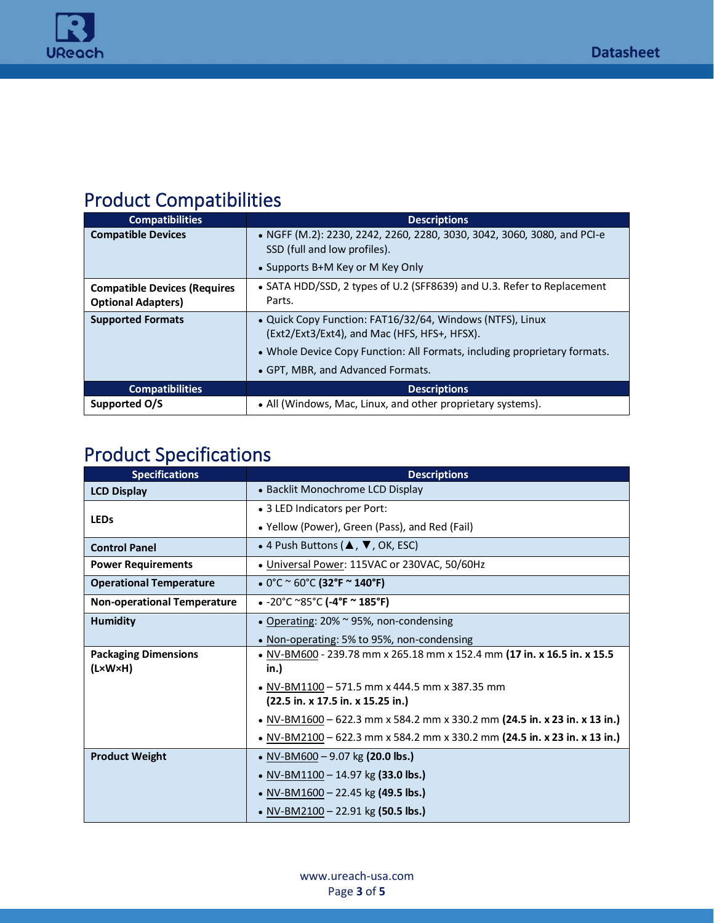

## Product Compatibilities

| <b>Compatibilities</b>              | <b>Descriptions</b>                                                                                                                         |
|-------------------------------------|---------------------------------------------------------------------------------------------------------------------------------------------|
| <b>Compatible Devices</b>           | • NGFF (M.2): 2230, 2242, 2260, 2280, 3030, 3042, 3060, 3080, and PCI-e<br>SSD (full and low profiles).<br>• Supports B+M Key or M Key Only |
| <b>Compatible Devices (Requires</b> | • SATA HDD/SSD, 2 types of U.2 (SFF8639) and U.3. Refer to Replacement                                                                      |
| <b>Optional Adapters)</b>           | Parts.                                                                                                                                      |
| <b>Supported Formats</b>            | . Quick Copy Function: FAT16/32/64, Windows (NTFS), Linux                                                                                   |
|                                     | (Ext2/Ext3/Ext4), and Mac (HFS, HFS+, HFSX).                                                                                                |
|                                     | • Whole Device Copy Function: All Formats, including proprietary formats.                                                                   |
|                                     | • GPT, MBR, and Advanced Formats.                                                                                                           |
| <b>Compatibilities</b>              | <b>Descriptions</b>                                                                                                                         |
| Supported O/S                       | • All (Windows, Mac, Linux, and other proprietary systems).                                                                                 |

## Product Specifications

| <b>Specifications</b>              | <b>Descriptions</b>                                                       |  |
|------------------------------------|---------------------------------------------------------------------------|--|
| <b>LCD Display</b>                 | • Backlit Monochrome LCD Display                                          |  |
|                                    | • 3 LED Indicators per Port:                                              |  |
| <b>LEDs</b>                        | • Yellow (Power), Green (Pass), and Red (Fail)                            |  |
| <b>Control Panel</b>               | • 4 Push Buttons ( $\blacktriangle$ , $\nabla$ , OK, ESC)                 |  |
| <b>Power Requirements</b>          | • Universal Power: 115VAC or 230VAC, 50/60Hz                              |  |
| <b>Operational Temperature</b>     | • $0^{\circ}$ C ~ 60 $^{\circ}$ C (32 $^{\circ}$ F ~ 140 $^{\circ}$ F)    |  |
| <b>Non-operational Temperature</b> | $\bullet$ -20°C ~85°C (-4°F ~ 185°F)                                      |  |
| <b>Humidity</b>                    | • Operating: 20% ~ 95%, non-condensing                                    |  |
|                                    | • Non-operating: 5% to 95%, non-condensing                                |  |
| <b>Packaging Dimensions</b>        | • NV-BM600 - 239.78 mm x 265.18 mm x 152.4 mm (17 in. x 16.5 in. x 15.5   |  |
| $(L \times W \times H)$            | in.)                                                                      |  |
|                                    | • NV-BM1100 - 571.5 mm x 444.5 mm x 387.35 mm                             |  |
|                                    | (22.5 in. x 17.5 in. x 15.25 in.)                                         |  |
|                                    | • NV-BM1600 – 622.3 mm x 584.2 mm x 330.2 mm (24.5 in. x 23 in. x 13 in.) |  |
|                                    | • NV-BM2100 - 622.3 mm x 584.2 mm x 330.2 mm (24.5 in. x 23 in. x 13 in.) |  |
| <b>Product Weight</b>              | • NV-BM600 – 9.07 kg (20.0 lbs.)                                          |  |
|                                    | • NV-BM1100 - 14.97 kg (33.0 lbs.)                                        |  |
|                                    | • NV-BM1600 - 22.45 kg (49.5 lbs.)                                        |  |
|                                    | • NV-BM2100 – 22.91 kg (50.5 lbs.)                                        |  |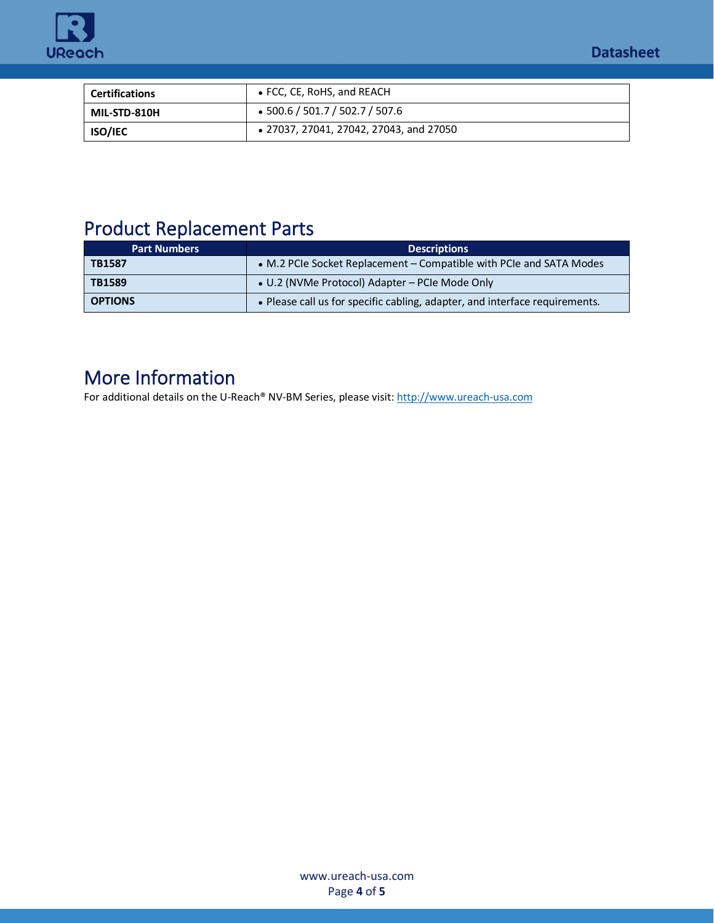



| <b>Certifications</b> | • FCC, CE, RoHS, and REACH              |
|-----------------------|-----------------------------------------|
| MIL-STD-810H          | $\bullet$ 500.6 / 501.7 / 502.7 / 507.6 |
| <b>ISO/IEC</b>        | • 27037, 27041, 27042, 27043, and 27050 |

## Product Replacement Parts

| <b>Part Numbers</b> | <b>Descriptions</b>                                                         |
|---------------------|-----------------------------------------------------------------------------|
| TB1587              | • M.2 PCIe Socket Replacement – Compatible with PCIe and SATA Modes         |
| TB1589              | • U.2 (NVMe Protocol) Adapter - PCIe Mode Only                              |
| <b>OPTIONS</b>      | . Please call us for specific cabling, adapter, and interface requirements. |

### More Information

For additional details on the U-Reach® NV-BM Series, please visit[: http://www.ureach-usa.com](http://www.ureach-usa.com/PCIe-1-to-20.html)